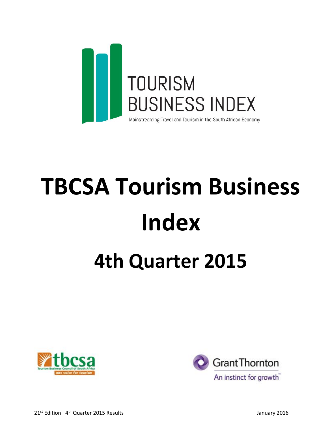

# **TBCSA Tourism Business Index 4th Quarter 2015**



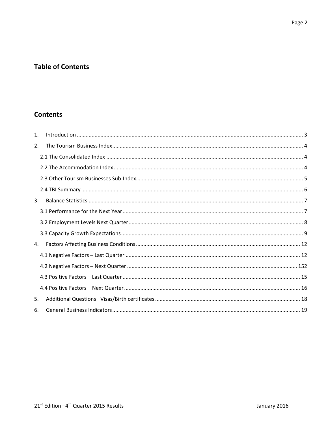# **Table of Contents**

# **Contents**

| $\mathbf{1}$ . |  |
|----------------|--|
| 2.             |  |
|                |  |
|                |  |
|                |  |
|                |  |
| 3.             |  |
|                |  |
|                |  |
|                |  |
| 4.             |  |
|                |  |
|                |  |
|                |  |
|                |  |
| 5.             |  |
| 6.             |  |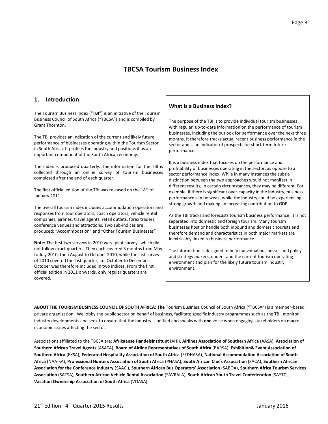# **TBCSA Tourism Business Index**

#### <span id="page-2-0"></span>**1. Introduction**

The Tourism Business Index ("**TBI**") is an initiative of the Tourism Business Council of South Africa ("TBCSA") and is compiled by Grant Thornton.

The TBI provides an indication of the current and likely future performance of businesses operating within the Tourism Sector in South Africa. It profiles the industry and positions it as an important component of the South African economy.

The index is produced quarterly. The information for the TBI is collected through an online survey of tourism businesses completed after the end of each quarter.

The first official edition of the TBI was released on the 18th of January 2011.

The overall tourism index includes accommodation operators and responses from tour operators, coach operators, vehicle rental companies, airlines, travel agents, retail outlets, forex traders, conference venues and attractions. Two sub-indices are produced; "Accommodation" and "Other Tourism Businesses"

**Note:** The first two surveys in 2010 were pilot surveys which did not follow exact quarters. They each covered 3 months from May to July 2010, then August to October 2010, while the last survey of 2010 covered the last quarter, i.e. October to December. October was therefore included in two indices. From the first official edition in 2011 onwards, only regular quarters are covered.

#### **What is a Business Index?**

The purpose of the TBI is to provide individual tourism businesses with regular, up-to-date information on the performance of tourism businesses, including the outlook for performance over the next three months. It therefore tracks actual recent business performance in the sector and is an indicator of prospects for short-term future performance.

It is a business index that focuses on the performance and profitability of businesses operating in the sector, as oppose to a sector performance index. While in many instances the subtle distinction between the two approaches would not manifest in different results, in certain circumstances, they may be different. For example, if there is significant over-capacity in the industry, business performance can be weak, while the industry could be experiencing strong growth and making an increasing contribution to GDP.

As the TBI tracks and forecasts tourism business performance, it is not separated into domestic and foreign tourism. Many tourism businesses host or handle both inbound and domestic tourists and therefore demand and characteristics in both major markets are inextricably linked to business performance.

The information is designed to help individual businesses and policy and strategy makers, understand the current tourism operating environment and plan for the likely future tourism industry environment.

**ABOUT THE TOURISM BUSINESS COUNCIL OF SOUTH AFRICA: The** Tourism Business Council of South Africa ("TBCSA") is a member-based, private organisation. We lobby the public sector on behalf of business, facilitate specific industry programmes such as the TBI, monitor industry developments and seek to ensure that the industry is unified and speaks with **one** voice when engaging stakeholders on macroeconomic issues affecting the sector.

Associations affiliated to the TBCSA are: **Afrikaanse Handelsinstituut** (AHI), **Airlines Association of Southern Africa** (AASA), **Association of Southern African Travel Agents** (ASATA), **Board of Airline Representatives of South Africa** (BARSA), **Exhibition& Event Association of Southern Africa** (EXSA), **Federated Hospitality Association of South Africa** (FEDHASA), **National Accommodation Association of South Africa** (NAA-SA), **Professional Hunters Association of South Africa** (PHASA), **South African Chefs Association** (SACA), **Southern African Association for the Conference Industry** (SAACI), **Southern African Bus Operators' Association** (SABOA), **Southern Africa Tourism Services Association** (SATSA), **Southern African Vehicle Rental Association** (SAVRALA), **South African Youth Travel Confederation** (SAYTC), **Vacation Ownership Association of South Africa** (VOASA).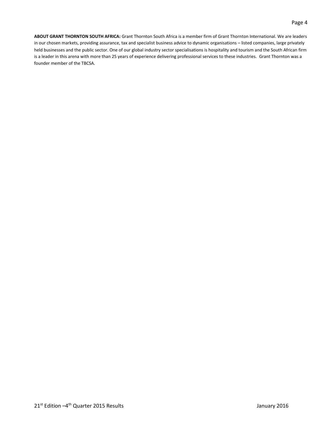**ABOUT GRANT THORNTON SOUTH AFRICA:** Grant Thornton South Africa is a member firm of Grant Thornton International. We are leaders in our chosen markets, providing assurance, tax and specialist business advice to dynamic organisations – listed companies, large privately held businesses and the public sector. One of our global industry sector specialisations is hospitality and tourism and the South African firm is a leader in this arena with more than 25 years of experience delivering professional services to these industries. Grant Thornton was a founder member of the TBCSA.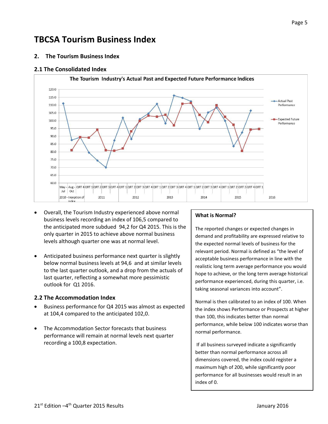# **TBCSA Tourism Business Index**

<span id="page-4-0"></span>**2. The Tourism Business Index**

#### <span id="page-4-1"></span>**2.1 The Consolidated Index**



- Overall, the Tourism Industry experienced above normal business levels recording an index of 106,5 compared to the anticipated more subdued 94,2 for Q4 2015. This is the only quarter in 2015 to achieve above normal business levels although quarter one was at normal level.
- Anticipated business performance next quarter is slightly below normal business levels at 94,6 and at similar levels to the last quarter outlook, and a drop from the actuals of last quarter, reflecting a somewhat more pessimistic outlook for Q1 2016.

#### <span id="page-4-2"></span>**2.2 The Accommodation Index**

- Business performance for Q4 2015 was almost as expected at 104,4 compared to the anticipated 102,0.
- The Accommodation Sector forecasts that business performance will remain at normal levels next quarter recording a 100,8 expectation.

#### **What is Normal?**

The reported changes or expected changes in demand and profitability are expressed relative to the expected normal levels of business for the relevant period. Normal is defined as "the level of acceptable business performance in line with the realistic long term average performance you would hope to achieve, or the long term average historical performance experienced, during this quarter, i.e. taking seasonal variances into account".

Normal is then calibrated to an index of 100. When the index shows Performance or Prospects at higher than 100, this indicates better than normal performance, while below 100 indicates worse than normal performance.

If all business surveyed indicate a significantly better than normal performance across all dimensions covered, the index could register a maximum high of 200, while significantly poor performance for all businesses would result in an index of 0.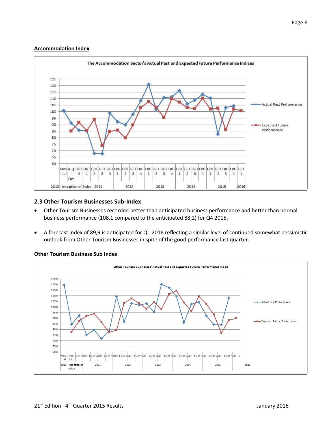#### **Accommodation Index**



#### <span id="page-5-0"></span>**2.3 Other Tourism Businesses Sub-Index**

- Other Tourism Businesses recorded better than anticipated business performance and better than normal business performance (108,1 compared to the anticipated 88,2) for Q4 2015.
- A forecast index of 89,9 is anticipated for Q1 2016 reflecting a similar level of continued somewhat pessimistic outlook from Other Tourism Businesses in spite of the good performance last quarter.



#### **Other Tourism Business Sub Index**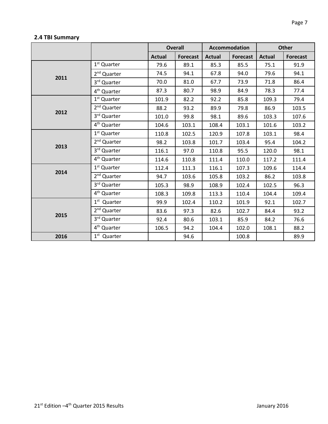# <span id="page-6-0"></span>**2.4 TBI Summary**

|      |                         | <b>Overall</b> |                 | <b>Accommodation</b> |                 | <b>Other</b>  |                 |
|------|-------------------------|----------------|-----------------|----------------------|-----------------|---------------|-----------------|
|      |                         | <b>Actual</b>  | <b>Forecast</b> | <b>Actual</b>        | <b>Forecast</b> | <b>Actual</b> | <b>Forecast</b> |
|      | 1 <sup>st</sup> Quarter | 79.6           | 89.1            | 85.3                 | 85.5            | 75.1          | 91.9            |
| 2011 | 2 <sup>nd</sup> Quarter | 74.5           | 94.1            | 67.8                 | 94.0            | 79.6          | 94.1            |
|      | 3rd Quarter             | 70.0           | 81.0            | 67.7                 | 73.9            | 71.8          | 86.4            |
|      | 4 <sup>th</sup> Quarter | 87.3           | 80.7            | 98.9                 | 84.9            | 78.3          | 77.4            |
|      | 1 <sup>st</sup> Quarter | 101.9          | 82.2            | 92.2                 | 85.8            | 109.3         | 79.4            |
| 2012 | 2 <sup>nd</sup> Quarter | 88.2           | 93.2            | 89.9                 | 79.8            | 86.9          | 103.5           |
|      | 3rd Quarter             | 101.0          | 99.8            | 98.1                 | 89.6            | 103.3         | 107.6           |
|      | 4 <sup>th</sup> Quarter | 104.6          | 103.1           | 108.4                | 103.1           | 101.6         | 103.2           |
|      | 1 <sup>st</sup> Quarter | 110.8          | 102.5           | 120.9                | 107.8           | 103.1         | 98.4            |
| 2013 | 2 <sup>nd</sup> Quarter | 98.2           | 103.8           | 101.7                | 103.4           | 95.4          | 104.2           |
|      | 3rd Quarter             | 116.1          | 97.0            | 110.8                | 95.5            | 120.0         | 98.1            |
|      | 4 <sup>th</sup> Quarter | 114.6          | 110.8           | 111.4                | 110.0           | 117.2         | 111.4           |
| 2014 | 1 <sup>st</sup> Quarter | 112.4          | 111.3           | 116.1                | 107.3           | 109.6         | 114.4           |
|      | 2 <sup>nd</sup> Quarter | 94.7           | 103.6           | 105.8                | 103.2           | 86.2          | 103.8           |
|      | 3 <sup>rd</sup> Quarter | 105.3          | 98.9            | 108.9                | 102.4           | 102.5         | 96.3            |
|      | 4 <sup>th</sup> Quarter | 108.3          | 109.8           | 113.3                | 110.4           | 104.4         | 109.4           |
|      | 1 <sup>st</sup> Quarter | 99.9           | 102.4           | 110.2                | 101.9           | 92.1          | 102.7           |
| 2015 | 2 <sup>nd</sup> Quarter | 83.6           | 97.3            | 82.6                 | 102.7           | 84.4          | 93.2            |
|      | 3rd Quarter             | 92.4           | 80.6            | 103.1                | 85.9            | 84.2          | 76.6            |
|      | 4 <sup>th</sup> Quarter | 106.5          | 94.2            | 104.4                | 102.0           | 108.1         | 88.2            |
| 2016 | $1st$ Quarter           |                | 94.6            |                      | 100.8           |               | 89.9            |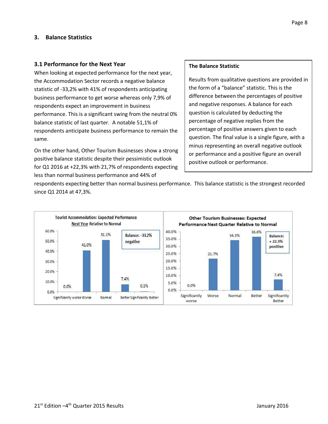#### <span id="page-7-0"></span>**3. Balance Statistics**

#### <span id="page-7-1"></span>**3.1 Performance for the Next Year**

When looking at expected performance for the next year, the Accommodation Sector records a negative balance statistic of -33,2% with 41% of respondents anticipating business performance to get worse whereas only 7,9% of respondents expect an improvement in business performance. This is a significant swing from the neutral 0% balance statistic of last quarter. A notable 51,1% of respondents anticipate business performance to remain the same.

On the other hand, Other Tourism Businesses show a strong positive balance statistic despite their pessimistic outlook for Q1 2016 at +22,3% with 21,7% of respondents expecting less than normal business performance and 44% of

#### **The Balance Statistic**

Results from qualitative questions are provided in the form of a "balance" statistic. This is the difference between the percentages of positive and negative responses. A balance for each question is calculated by deducting the percentage of negative replies from the percentage of positive answers given to each question. The final value is a single figure, with a minus representing an overall negative outlook or performance and a positive figure an overall positive outlook or performance.

respondents expecting better than normal business performance. This balance statistic is the strongest recorded since Q1 2014 at 47,3%.

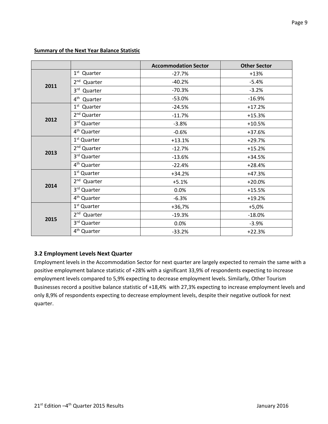#### **Summary of the Next Year Balance Statistic**

|      |                            | <b>Accommodation Sector</b> | <b>Other Sector</b> |
|------|----------------------------|-----------------------------|---------------------|
|      | 1 <sup>st</sup> Quarter    | $-27.7%$                    | $+13%$              |
| 2011 | 2 <sup>nd</sup> Quarter    | $-40.2%$                    | $-5.4%$             |
|      | $3^{\text{rd}}$<br>Quarter | $-70.3%$                    | $-3.2%$             |
|      | 4 <sup>th</sup> Quarter    | $-53.0%$                    | $-16.9%$            |
|      | 1 <sup>st</sup> Quarter    | $-24.5%$                    | $+17.2%$            |
| 2012 | 2 <sup>nd</sup> Quarter    | $-11.7%$                    | $+15.3%$            |
|      | 3rd Quarter                | $-3.8%$                     | $+10.5%$            |
|      | 4 <sup>th</sup> Quarter    | $-0.6%$                     | +37.6%              |
|      | 1 <sup>st</sup> Quarter    | $+13.1%$                    | $+29.7%$            |
| 2013 | 2 <sup>nd</sup> Quarter    | $-12.7%$                    | $+15.2%$            |
|      | 3rd Quarter                | $-13.6%$                    | $+34.5%$            |
|      | 4 <sup>th</sup> Quarter    | $-22.4%$                    | $+28.4%$            |
|      | 1 <sup>st</sup> Quarter    | $+34.2%$                    | $+47.3%$            |
| 2014 | 2 <sup>nd</sup> Quarter    | $+5.1%$                     | $+20.0%$            |
|      | 3rd Quarter                | 0.0%                        | $+15.5%$            |
|      | 4 <sup>th</sup> Quarter    | $-6.3%$                     | $+19.2%$            |
|      | 1 <sup>st</sup> Quarter    | $+36,7%$                    | $+5,0%$             |
|      | 2 <sup>nd</sup> Quarter    | $-19.3%$                    | $-18.0%$            |
| 2015 | 3rd Quarter                | 0.0%                        | $-3.9%$             |
|      | 4 <sup>th</sup> Quarter    | $-33.2%$                    | $+22.3%$            |

#### <span id="page-8-0"></span>**3.2 Employment Levels Next Quarter**

Employment levels in the Accommodation Sector for next quarter are largely expected to remain the same with a positive employment balance statistic of +28% with a significant 33,9% of respondents expecting to increase employment levels compared to 5,9% expecting to decrease employment levels. Similarly, Other Tourism Businesses record a positive balance statistic of +18,4% with 27,3% expecting to increase employment levels and only 8,9% of respondents expecting to decrease employment levels, despite their negative outlook for next quarter.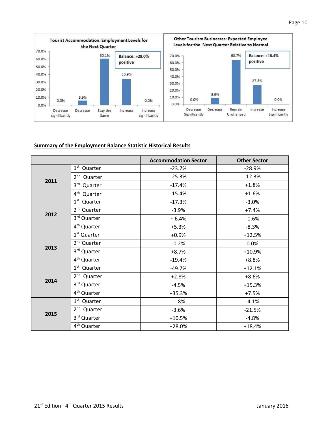

#### **Summary of the Employment Balance Statistic Historical Results**

<span id="page-9-0"></span>

|      |                         | <b>Accommodation Sector</b> | <b>Other Sector</b> |
|------|-------------------------|-----------------------------|---------------------|
|      | $1st$ Quarter           | $-23.7%$                    | $-28.9%$            |
| 2011 | 2 <sup>nd</sup> Quarter | $-25.3%$                    | $-12.3%$            |
|      | 3rd Quarter             | $-17.4%$                    | $+1.8%$             |
|      | 4 <sup>th</sup> Quarter | $-15.4%$                    | $+1.6%$             |
|      | 1 <sup>st</sup> Quarter | $-17.3%$                    | $-3.0%$             |
|      | 2 <sup>nd</sup> Quarter | $-3.9%$                     | $+7.4%$             |
| 2012 | 3rd Quarter             | $+6.4%$                     | $-0.6%$             |
|      | 4 <sup>th</sup> Quarter | $+5.3%$                     | $-8.3%$             |
|      | 1 <sup>st</sup> Quarter | $+0.9%$                     | $+12.5%$            |
|      | 2 <sup>nd</sup> Quarter | $-0.2%$                     | 0.0%                |
| 2013 | 3rd Quarter             | $+8.7%$                     | $+10.9%$            |
|      | 4 <sup>th</sup> Quarter | $-19.4%$                    | $+8.8%$             |
|      | 1 <sup>st</sup> Quarter | $-49.7%$                    | $+12.1%$            |
|      | 2 <sup>nd</sup> Quarter | $+2.8%$                     | $+8.6%$             |
| 2014 | 3rd Quarter             | $-4.5%$                     | $+15.3%$            |
|      | 4 <sup>th</sup> Quarter | $+35,3%$                    | $+7.5%$             |
|      | 1 <sup>st</sup> Quarter | $-1.8%$                     | $-4.1%$             |
|      | 2 <sup>nd</sup> Quarter | $-3.6%$                     | $-21.5%$            |
| 2015 | 3rd Quarter             | $+10.5%$                    | $-4.8%$             |
|      | 4 <sup>th</sup> Quarter | $+28.0%$                    | $+18,4%$            |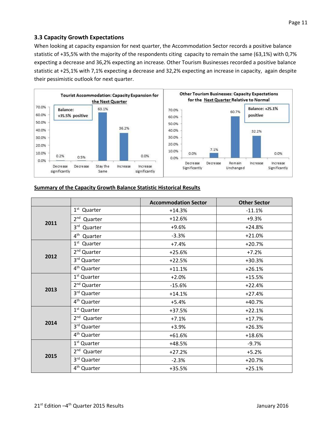When looking at capacity expansion for next quarter, the Accommodation Sector records a positive balance statistic of +35,5% with the majority of the respondents citing capacity to remain the same (63,1%) with 0,7% expecting a decrease and 36,2% expecting an increase. Other Tourism Businesses recorded a positive balance statistic at +25,1% with 7,1% expecting a decrease and 32,2% expecting an increase in capacity, again despite their pessimistic outlook for next quarter.



#### **Summary of the Capacity Growth Balance Statistic Historical Results**

|      |                            | <b>Accommodation Sector</b> | <b>Other Sector</b> |
|------|----------------------------|-----------------------------|---------------------|
|      | $1st$ Quarter              | $+14.3%$                    | $-11.1%$            |
|      | 2 <sup>nd</sup> Quarter    | $+12.6%$                    | $+9.3%$             |
| 2011 | 3 <sup>rd</sup><br>Quarter | $+9.6%$                     | $+24.8%$            |
|      | 4 <sup>th</sup> Quarter    | $-3.3%$                     | $+21.0%$            |
|      | 1 <sup>st</sup> Quarter    | $+7.4%$                     | $+20.7%$            |
|      | 2 <sup>nd</sup> Quarter    | $+25.6%$                    | $+7.2%$             |
| 2012 | 3rd Quarter                | $+22.5%$                    | $+30.3%$            |
|      | 4 <sup>th</sup> Quarter    | $+11.1%$                    | $+26.1%$            |
|      | 1 <sup>st</sup> Quarter    | $+2.0%$                     | $+15.5%$            |
| 2013 | 2 <sup>nd</sup> Quarter    | $-15.6%$                    | $+22.4%$            |
|      | 3rd Quarter                | $+14.1%$                    | $+27.4%$            |
|      | 4 <sup>th</sup> Quarter    | $+5.4%$                     | $+40.7%$            |
|      | 1 <sup>st</sup> Quarter    | $+37.5%$                    | $+22.1%$            |
| 2014 | 2 <sup>nd</sup> Quarter    | $+7.1%$                     | $+17.7%$            |
|      | 3rd Quarter                | $+3.9%$                     | $+26.3%$            |
|      | 4 <sup>th</sup> Quarter    | $+61.6%$                    | $+18.6%$            |
|      | 1 <sup>st</sup> Quarter    | +48.5%                      | $-9.7%$             |
| 2015 | $2nd$ Quarter              | $+27.2%$                    | $+5.2%$             |
|      | 3rd Quarter                | $-2.3%$                     | $+20.7%$            |
|      | 4 <sup>th</sup> Quarter    | +35.5%                      | $+25.1%$            |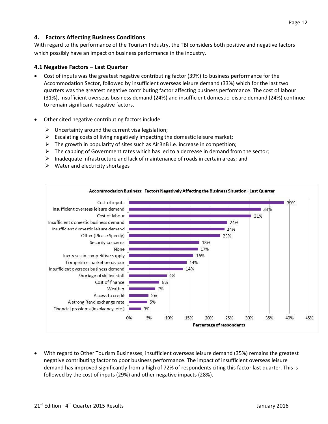### <span id="page-11-0"></span>**4. Factors Affecting Business Conditions**

With regard to the performance of the Tourism Industry, the TBI considers both positive and negative factors which possibly have an impact on business performance in the industry.

#### <span id="page-11-1"></span>**4.1 Negative Factors – Last Quarter**

- Cost of inputs was the greatest negative contributing factor (39%) to business performance for the Accommodation Sector, followed by insufficient overseas leisure demand (33%) which for the last two quarters was the greatest negative contributing factor affecting business performance. The cost of labour (31%), insufficient overseas business demand (24%) and insufficient domestic leisure demand (24%) continue to remain significant negative factors.
- Other cited negative contributing factors include:
	- $\triangleright$  Uncertainty around the current visa legislation;
	- $\triangleright$  Escalating costs of living negatively impacting the domestic leisure market;
	- $\triangleright$  The growth in popularity of sites such as AirBnB i.e. increase in competition;
	- $\triangleright$  The capping of Government rates which has led to a decrease in demand from the sector;
	- $\triangleright$  Inadequate infrastructure and lack of maintenance of roads in certain areas; and
	- $\triangleright$  Water and electricity shortages



 With regard to Other Tourism Businesses, insufficient overseas leisure demand (35%) remains the greatest negative contributing factor to poor business performance. The impact of insufficient overseas leisure demand has improved significantly from a high of 72% of respondents citing this factor last quarter. This is followed by the cost of inputs (29%) and other negative impacts (28%).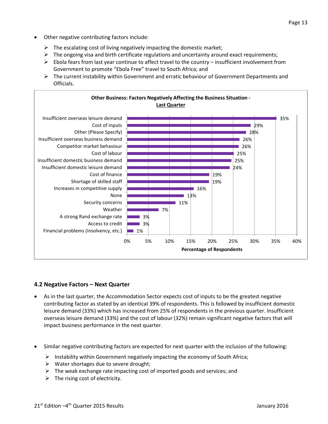- Other negative contributing factors include:
	- $\triangleright$  The escalating cost of living negatively impacting the domestic market;
	- $\triangleright$  The ongoing visa and birth certificate regulations and uncertainty around exact requirements;
	- $\triangleright$  Ebola fears from last year continue to affect travel to the country insufficient involvement from Government to promote "Ebola Free" travel to South Africa; and
	- $\triangleright$  The current instability within Government and erratic behaviour of Government Departments and Officials.



#### **4.2 Negative Factors – Next Quarter**

- As in the last quarter, the Accommodation Sector expects cost of inputs to be the greatest negative contributing factor as stated by an identical 39% of respondents. This is followed by insufficient domestic leisure demand (33%) which has increased from 25% of respondents in the previous quarter. Insufficient overseas leisure demand (33%) and the cost of labour (32%) remain significant negative factors that will impact business performance in the next quarter.
- Similar negative contributing factors are expected for next quarter with the inclusion of the following:
	- Instability within Government negatively impacting the economy of South Africa;
	- $\triangleright$  Water shortages due to severe drought;
	- $\triangleright$  The weak exchange rate impacting cost of imported goods and services; and
	- $\triangleright$  The rising cost of electricity.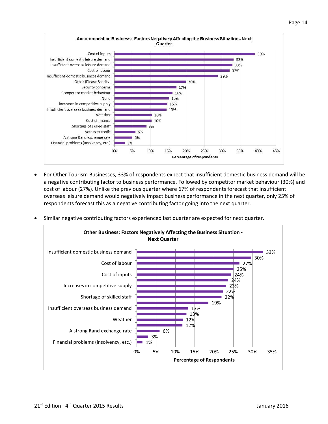

 For Other Tourism Businesses, 33% of respondents expect that insufficient domestic business demand will be a negative contributing factor to business performance. Followed by competitor market behaviour (30%) and cost of labour (27%). Unlike the previous quarter where 67% of respondents forecast that insufficient overseas leisure demand would negatively impact business performance in the next quarter, only 25% of respondents forecast this as a negative contributing factor going into the next quarter.

15%

20%

Percentage of respondents

25%

30%

35%

40%

45%

10%

9%

10%

 $-6%$ 

5%

3%

5%

0%

Similar negative contributing factors experienced last quarter are expected for next quarter.

Cost of finance

Access to credit

Shortage of skilled staff

A strong Rand exchange rate

Financial problems (insolvency, etc.)

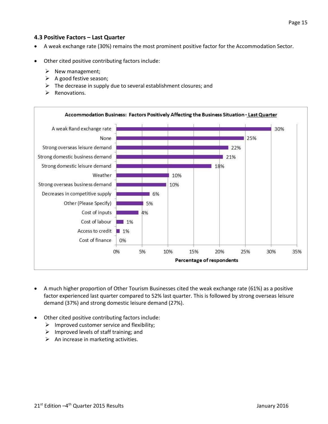#### <span id="page-14-0"></span>**4.3 Positive Factors – Last Quarter**

- A weak exchange rate (30%) remains the most prominent positive factor for the Accommodation Sector.
- Other cited positive contributing factors include:
	- $\triangleright$  New management;
	- A good festive season;
	- The decrease in supply due to several establishment closures; and
	- Renovations.



- A much higher proportion of Other Tourism Businesses cited the weak exchange rate (61%) as a positive factor experienced last quarter compared to 52% last quarter. This is followed by strong overseas leisure demand (37%) and strong domestic leisure demand (27%).
- Other cited positive contributing factors include:
	- $\triangleright$  Improved customer service and flexibility;
	- $\triangleright$  Improved levels of staff training; and
	- $\triangleright$  An increase in marketing activities.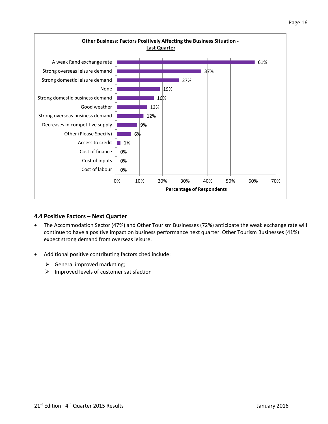

#### <span id="page-15-0"></span>**4.4 Positive Factors – Next Quarter**

- The Accommodation Sector (47%) and Other Tourism Businesses (72%) anticipate the weak exchange rate will continue to have a positive impact on business performance next quarter. Other Tourism Businesses (41%) expect strong demand from overseas leisure.
- Additional positive contributing factors cited include:
	- $\triangleright$  General improved marketing;
	- $\triangleright$  Improved levels of customer satisfaction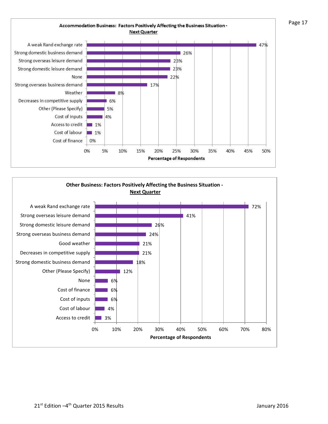

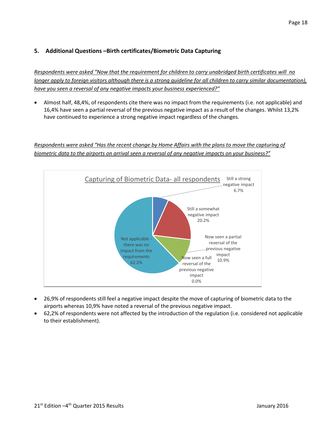# <span id="page-17-0"></span>**5. Additional Questions –Birth certificates/Biometric Data Capturing**

*Respondents were asked "Now that the requirement for children to carry unabridged birth certificates will no longer apply to foreign visitors although there is a strong guideline for all children to carry similar documentation), have you seen a reversal of any negative impacts your business experienced?"*

 Almost half, 48,4%, of respondents cite there was no impact from the requirements (i.e. not applicable) and 16,4% have seen a partial reversal of the previous negative impact as a result of the changes. Whilst 13,2% have continued to experience a strong negative impact regardless of the changes.

## *Respondents were asked "Has the recent change by Home Affairs with the plans to move the capturing of biometric data to the airports on arrival seen a reversal of any negative impacts on your business?"*



- 26,9% of respondents still feel a negative impact despite the move of capturing of biometric data to the airports whereas 10,9% have noted a reversal of the previous negative impact.
- 62,2% of respondents were not affected by the introduction of the regulation (i.e. considered not applicable to their establishment).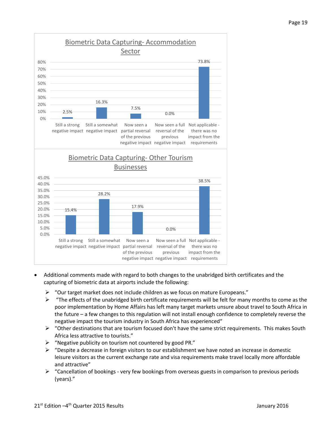

- Additional comments made with regard to both changes to the unabridged birth certificates and the capturing of biometric data at airports include the following:
	- $\triangleright$  "Our target market does not include children as we focus on mature Europeans."
	- $\triangleright$  "The effects of the unabridged birth certificate requirements will be felt for many months to come as the poor implementation by Home Affairs has left many target markets unsure about travel to South Africa in the future – a few changes to this regulation will not install enough confidence to completely reverse the negative impact the tourism industry in South Africa has experienced"
	- $\triangleright$  "Other destinations that are tourism focused don't have the same strict requirements. This makes South Africa less attractive to tourists."
	- $\triangleright$  "Negative publicity on tourism not countered by good PR."
	- $\triangleright$  "Despite a decrease in foreign visitors to our establishment we have noted an increase in domestic leisure visitors as the current exchange rate and visa requirements make travel locally more affordable and attractive"
	- $\triangleright$  "Cancellation of bookings very few bookings from overseas guests in comparison to previous periods (years)."